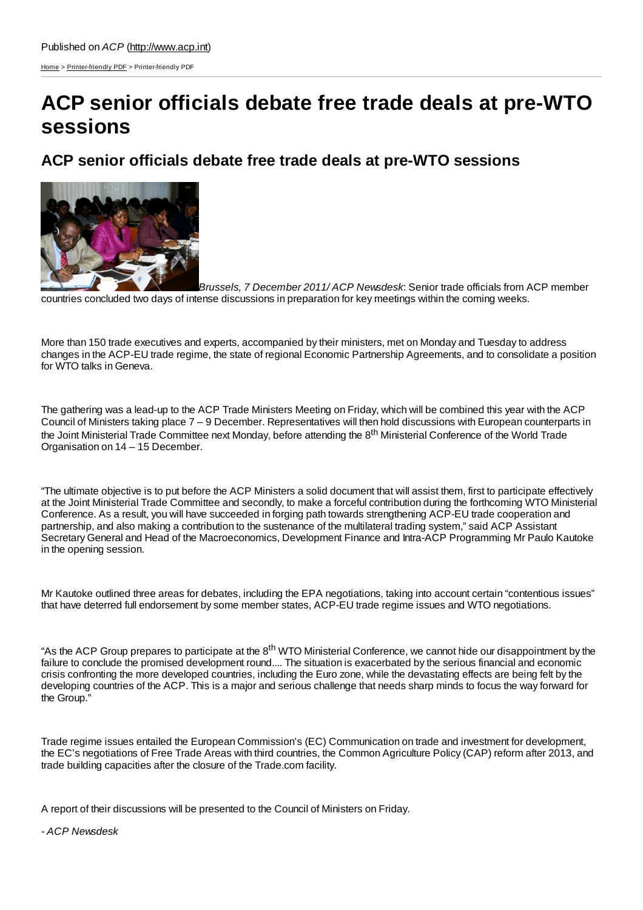[Home](http://www.acp.int/) > [Printer-friendly](http://www.acp.int/printpdf) PDF > Printer-friendly PDF

## **ACP senior officials debate free trade deals at pre-WTO sessions**

## **ACP senior officials debate free trade deals at pre-WTO sessions**



*Brussels, 7 December 2011/ ACP Newsdesk*: Senior trade officials from ACP member countries concluded two days of intense discussions in preparation for key meetings within the coming weeks.

More than 150 trade executives and experts, accompanied by their ministers, met on Monday and Tuesday to address changes in the ACP-EU trade regime, the state of regional Economic Partnership Agreements, and to consolidate a position for WTO talks in Geneva.

The gathering was a lead-up to the ACP Trade Ministers Meeting on Friday, which will be combined this year with the ACP Council of Ministers taking place 7 – 9 December. Representatives will then hold discussions with European counterparts in the Joint Ministerial Trade Committee next Monday, before attending the 8<sup>th</sup> Ministerial Conference of the World Trade Organisation on 14 – 15 December.

"The ultimate objective is to put before the ACP Ministers a solid document that will assist them, first to participate effectively at the Joint Ministerial Trade Committee and secondly, to make a forceful contribution during the forthcoming WTO Ministerial Conference. As a result, you will have succeeded in forging path towards strengthening ACP-EU trade cooperation and partnership, and also making a contribution to the sustenance of the multilateral trading system," said ACP Assistant Secretary General and Head of the Macroeconomics, Development Finance and Intra-ACP Programming Mr Paulo Kautoke in the opening session.

Mr Kautoke outlined three areas for debates, including the EPA negotiations, taking into account certain "contentious issues" that have deterred full endorsement by some member states, ACP-EU trade regime issues and WTO negotiations.

"As the ACP Group prepares to participate at the 8<sup>th</sup> WTO Ministerial Conference, we cannot hide our disappointment by the failure to conclude the promised development round.... The situation is exacerbated by the serious financial and economic crisis confronting the more developed countries, including the Euro zone, while the devastating effects are being felt by the developing countries of the ACP. This is a major and serious challenge that needs sharp minds to focus the way forward for the Group."

Trade regime issues entailed the European Commission's (EC) Communication on trade and investment for development, the EC's negotiations of Free Trade Areas with third countries, the Common Agriculture Policy (CAP) reform after 2013, and trade building capacities after the closure of the Trade.com facility.

A report of their discussions will be presented to the Council of Ministers on Friday.

*- ACP Newsdesk*